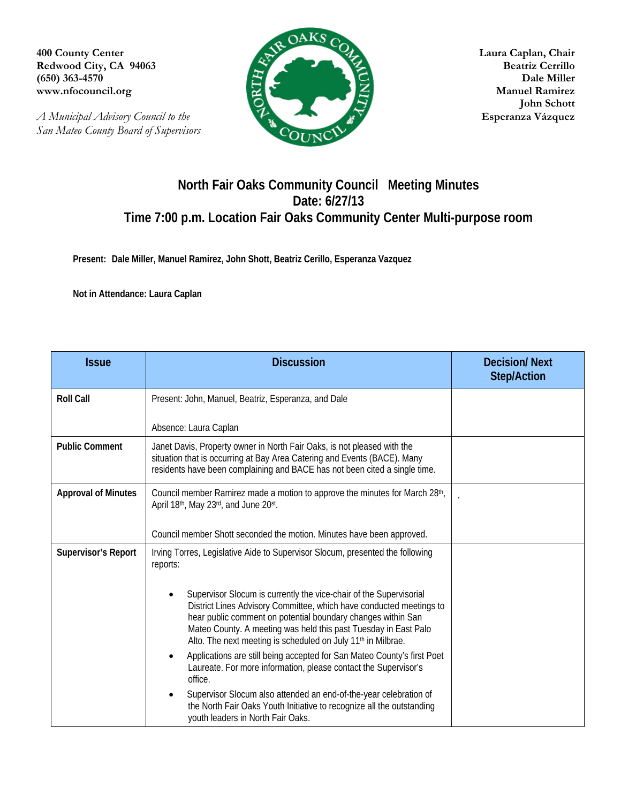**(650) 363-4570** 

*A Municipal Advisory Council to the* **Esperanza Vázquez** *San Mateo County Board of Supervisors* 



 **John Schott** 

## **North Fair Oaks Community Council Meeting Minutes Date: 6/27/13 Time 7:00 p.m. Location Fair Oaks Community Center Multi-purpose room**

**Present: Dale Miller, Manuel Ramirez, John Shott, Beatriz Cerillo, Esperanza Vazquez** 

**Not in Attendance: Laura Caplan** 

| <b>Issue</b>               | <b>Discussion</b>                                                                                                                                                                                                                                                                                                                                        | <b>Decision/Next</b><br><b>Step/Action</b> |
|----------------------------|----------------------------------------------------------------------------------------------------------------------------------------------------------------------------------------------------------------------------------------------------------------------------------------------------------------------------------------------------------|--------------------------------------------|
| <b>Roll Call</b>           | Present: John, Manuel, Beatriz, Esperanza, and Dale                                                                                                                                                                                                                                                                                                      |                                            |
|                            | Absence: Laura Caplan                                                                                                                                                                                                                                                                                                                                    |                                            |
| <b>Public Comment</b>      | Janet Davis, Property owner in North Fair Oaks, is not pleased with the<br>situation that is occurring at Bay Area Catering and Events (BACE). Many<br>residents have been complaining and BACE has not been cited a single time.                                                                                                                        |                                            |
| <b>Approval of Minutes</b> | Council member Ramirez made a motion to approve the minutes for March 28th,<br>April 18th, May 23rd, and June 20st.                                                                                                                                                                                                                                      |                                            |
|                            | Council member Shott seconded the motion. Minutes have been approved.                                                                                                                                                                                                                                                                                    |                                            |
| <b>Supervisor's Report</b> | Irving Torres, Legislative Aide to Supervisor Slocum, presented the following<br>reports:                                                                                                                                                                                                                                                                |                                            |
|                            | Supervisor Slocum is currently the vice-chair of the Supervisorial<br>District Lines Advisory Committee, which have conducted meetings to<br>hear public comment on potential boundary changes within San<br>Mateo County. A meeting was held this past Tuesday in East Palo<br>Alto. The next meeting is scheduled on July 11 <sup>th</sup> in Milbrae. |                                            |
|                            | Applications are still being accepted for San Mateo County's first Poet<br>Laureate. For more information, please contact the Supervisor's<br>office.                                                                                                                                                                                                    |                                            |
|                            | Supervisor Slocum also attended an end-of-the-year celebration of<br>the North Fair Oaks Youth Initiative to recognize all the outstanding<br>youth leaders in North Fair Oaks.                                                                                                                                                                          |                                            |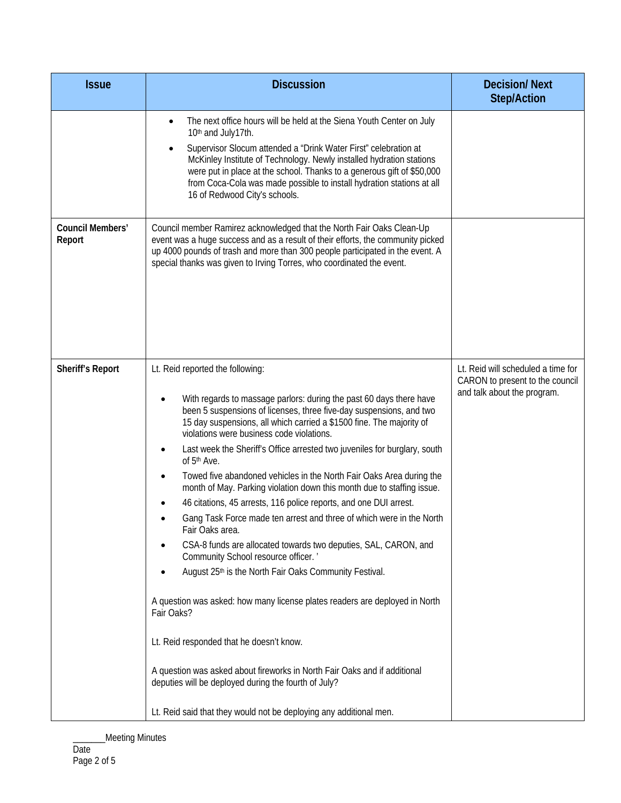| <b>Issue</b>                      | <b>Discussion</b>                                                                                                                                                                                                                                                                                                                                                                                                                                                                                                                                                                                                                                                                                                                                                                                                                                                                                                                                                                                                                                                                                                                                                                                                                                                 | <b>Decision/Next</b><br><b>Step/Action</b>                                                           |
|-----------------------------------|-------------------------------------------------------------------------------------------------------------------------------------------------------------------------------------------------------------------------------------------------------------------------------------------------------------------------------------------------------------------------------------------------------------------------------------------------------------------------------------------------------------------------------------------------------------------------------------------------------------------------------------------------------------------------------------------------------------------------------------------------------------------------------------------------------------------------------------------------------------------------------------------------------------------------------------------------------------------------------------------------------------------------------------------------------------------------------------------------------------------------------------------------------------------------------------------------------------------------------------------------------------------|------------------------------------------------------------------------------------------------------|
|                                   | The next office hours will be held at the Siena Youth Center on July<br>٠<br>10th and July17th.<br>Supervisor Slocum attended a "Drink Water First" celebration at<br>McKinley Institute of Technology. Newly installed hydration stations<br>were put in place at the school. Thanks to a generous gift of \$50,000<br>from Coca-Cola was made possible to install hydration stations at all<br>16 of Redwood City's schools.                                                                                                                                                                                                                                                                                                                                                                                                                                                                                                                                                                                                                                                                                                                                                                                                                                    |                                                                                                      |
| <b>Council Members'</b><br>Report | Council member Ramirez acknowledged that the North Fair Oaks Clean-Up<br>event was a huge success and as a result of their efforts, the community picked<br>up 4000 pounds of trash and more than 300 people participated in the event. A<br>special thanks was given to Irving Torres, who coordinated the event.                                                                                                                                                                                                                                                                                                                                                                                                                                                                                                                                                                                                                                                                                                                                                                                                                                                                                                                                                |                                                                                                      |
| <b>Sheriff's Report</b>           | Lt. Reid reported the following:<br>With regards to massage parlors: during the past 60 days there have<br>been 5 suspensions of licenses, three five-day suspensions, and two<br>15 day suspensions, all which carried a \$1500 fine. The majority of<br>violations were business code violations.<br>Last week the Sheriff's Office arrested two juveniles for burglary, south<br>of 5 <sup>th</sup> Ave.<br>Towed five abandoned vehicles in the North Fair Oaks Area during the<br>$\bullet$<br>month of May. Parking violation down this month due to staffing issue.<br>46 citations, 45 arrests, 116 police reports, and one DUI arrest.<br>Gang Task Force made ten arrest and three of which were in the North<br>Fair Oaks area.<br>CSA-8 funds are allocated towards two deputies, SAL, CARON, and<br>Community School resource officer.<br>August 25th is the North Fair Oaks Community Festival.<br>A question was asked: how many license plates readers are deployed in North<br>Fair Oaks?<br>Lt. Reid responded that he doesn't know.<br>A question was asked about fireworks in North Fair Oaks and if additional<br>deputies will be deployed during the fourth of July?<br>Lt. Reid said that they would not be deploying any additional men. | Lt. Reid will scheduled a time for<br>CARON to present to the council<br>and talk about the program. |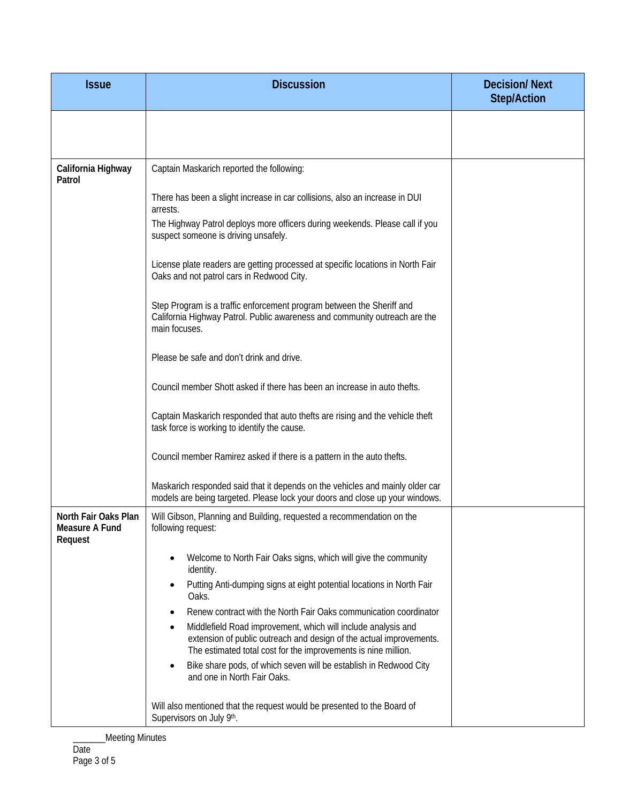| <b>Issue</b>                                      | <b>Discussion</b>                                                                                                                                                                                                                                                                                                                                                                                                                                                                                                                                           | <b>Decision/Next</b><br><b>Step/Action</b> |
|---------------------------------------------------|-------------------------------------------------------------------------------------------------------------------------------------------------------------------------------------------------------------------------------------------------------------------------------------------------------------------------------------------------------------------------------------------------------------------------------------------------------------------------------------------------------------------------------------------------------------|--------------------------------------------|
|                                                   |                                                                                                                                                                                                                                                                                                                                                                                                                                                                                                                                                             |                                            |
| California Highway<br>Patrol                      | Captain Maskarich reported the following:                                                                                                                                                                                                                                                                                                                                                                                                                                                                                                                   |                                            |
|                                                   | There has been a slight increase in car collisions, also an increase in DUI<br>arrests.<br>The Highway Patrol deploys more officers during weekends. Please call if you<br>suspect someone is driving unsafely.                                                                                                                                                                                                                                                                                                                                             |                                            |
|                                                   | License plate readers are getting processed at specific locations in North Fair<br>Oaks and not patrol cars in Redwood City.                                                                                                                                                                                                                                                                                                                                                                                                                                |                                            |
|                                                   | Step Program is a traffic enforcement program between the Sheriff and<br>California Highway Patrol. Public awareness and community outreach are the<br>main focuses.                                                                                                                                                                                                                                                                                                                                                                                        |                                            |
|                                                   | Please be safe and don't drink and drive.                                                                                                                                                                                                                                                                                                                                                                                                                                                                                                                   |                                            |
|                                                   | Council member Shott asked if there has been an increase in auto thefts.                                                                                                                                                                                                                                                                                                                                                                                                                                                                                    |                                            |
|                                                   | Captain Maskarich responded that auto thefts are rising and the vehicle theft<br>task force is working to identify the cause.                                                                                                                                                                                                                                                                                                                                                                                                                               |                                            |
|                                                   | Council member Ramirez asked if there is a pattern in the auto thefts.                                                                                                                                                                                                                                                                                                                                                                                                                                                                                      |                                            |
|                                                   | Maskarich responded said that it depends on the vehicles and mainly older car<br>models are being targeted. Please lock your doors and close up your windows.                                                                                                                                                                                                                                                                                                                                                                                               |                                            |
| North Fair Oaks Plan<br>Measure A Fund<br>Request | Will Gibson, Planning and Building, requested a recommendation on the<br>following request:                                                                                                                                                                                                                                                                                                                                                                                                                                                                 |                                            |
|                                                   | Welcome to North Fair Oaks signs, which will give the community<br>identity.<br>Putting Anti-dumping signs at eight potential locations in North Fair<br>٠<br>Oaks.<br>Renew contract with the North Fair Oaks communication coordinator<br>Middlefield Road improvement, which will include analysis and<br>٠<br>extension of public outreach and design of the actual improvements.<br>The estimated total cost for the improvements is nine million.<br>Bike share pods, of which seven will be establish in Redwood City<br>and one in North Fair Oaks. |                                            |
|                                                   | Will also mentioned that the request would be presented to the Board of<br>Supervisors on July 9th.                                                                                                                                                                                                                                                                                                                                                                                                                                                         |                                            |

\_\_\_Meeting Minutes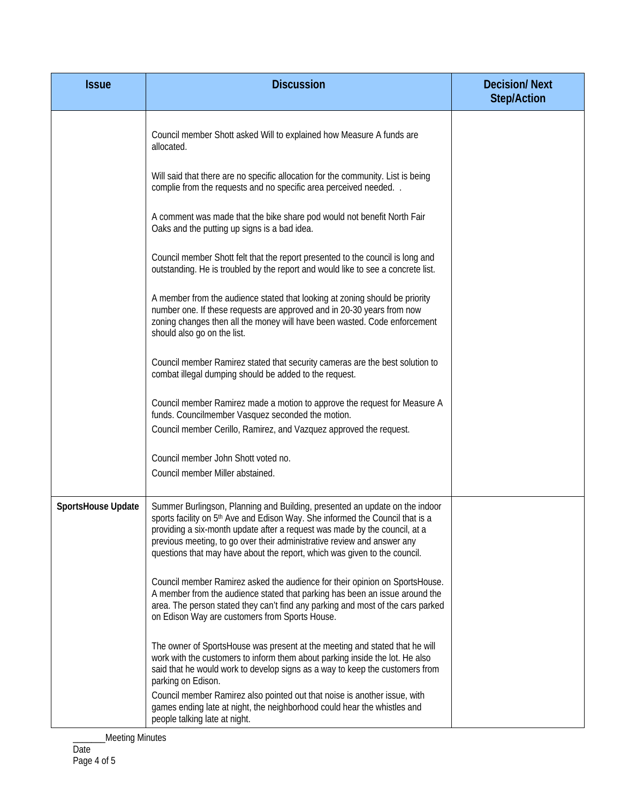| <b>Issue</b>       | <b>Discussion</b>                                                                                                                                                                                                                                                                                                                                                                                              | <b>Decision/Next</b><br><b>Step/Action</b> |
|--------------------|----------------------------------------------------------------------------------------------------------------------------------------------------------------------------------------------------------------------------------------------------------------------------------------------------------------------------------------------------------------------------------------------------------------|--------------------------------------------|
|                    | Council member Shott asked Will to explained how Measure A funds are<br>allocated.                                                                                                                                                                                                                                                                                                                             |                                            |
|                    | Will said that there are no specific allocation for the community. List is being<br>complie from the requests and no specific area perceived needed                                                                                                                                                                                                                                                            |                                            |
|                    | A comment was made that the bike share pod would not benefit North Fair<br>Oaks and the putting up signs is a bad idea.                                                                                                                                                                                                                                                                                        |                                            |
|                    | Council member Shott felt that the report presented to the council is long and<br>outstanding. He is troubled by the report and would like to see a concrete list.                                                                                                                                                                                                                                             |                                            |
|                    | A member from the audience stated that looking at zoning should be priority<br>number one. If these requests are approved and in 20-30 years from now<br>zoning changes then all the money will have been wasted. Code enforcement<br>should also go on the list.                                                                                                                                              |                                            |
|                    | Council member Ramirez stated that security cameras are the best solution to<br>combat illegal dumping should be added to the request.                                                                                                                                                                                                                                                                         |                                            |
|                    | Council member Ramirez made a motion to approve the request for Measure A<br>funds. Councilmember Vasquez seconded the motion.                                                                                                                                                                                                                                                                                 |                                            |
|                    | Council member Cerillo, Ramirez, and Vazquez approved the request.<br>Council member John Shott voted no.<br>Council member Miller abstained.                                                                                                                                                                                                                                                                  |                                            |
| SportsHouse Update | Summer Burlingson, Planning and Building, presented an update on the indoor<br>sports facility on 5 <sup>th</sup> Ave and Edison Way. She informed the Council that is a<br>providing a six-month update after a request was made by the council, at a<br>previous meeting, to go over their administrative review and answer any<br>questions that may have about the report, which was given to the council. |                                            |
|                    | Council member Ramirez asked the audience for their opinion on SportsHouse.<br>A member from the audience stated that parking has been an issue around the<br>area. The person stated they can't find any parking and most of the cars parked<br>on Edison Way are customers from Sports House.                                                                                                                |                                            |
|                    | The owner of SportsHouse was present at the meeting and stated that he will<br>work with the customers to inform them about parking inside the lot. He also<br>said that he would work to develop signs as a way to keep the customers from<br>parking on Edison.                                                                                                                                              |                                            |
|                    | Council member Ramirez also pointed out that noise is another issue, with<br>games ending late at night, the neighborhood could hear the whistles and<br>people talking late at night.                                                                                                                                                                                                                         |                                            |

\_\_\_Meeting Minutes